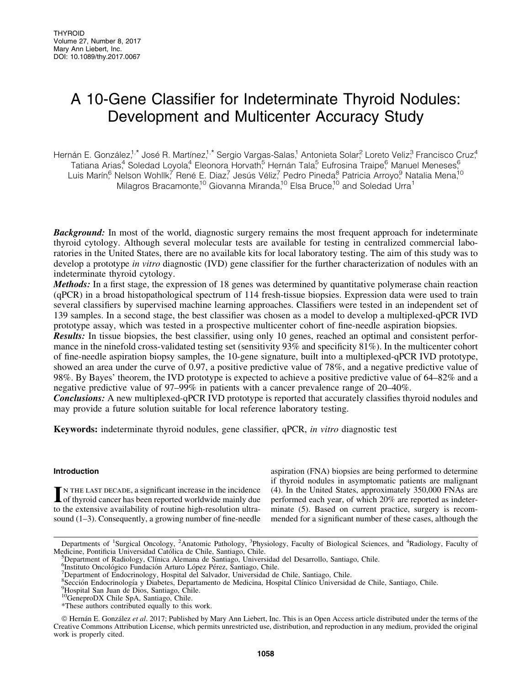# A 10-Gene Classifier for Indeterminate Thyroid Nodules: Development and Multicenter Accuracy Study

Hernán E. González<sup>1,\*</sup> José R. Martínez<sup>1,\*</sup> Sergio Vargas-Salas,<sup>1</sup> Antonieta Solar,<sup>2</sup> Loreto Veliz,<sup>3</sup> Francisco Cruz,4 Tatiana Arias,<sup>4</sup> Soledad Loyola,<sup>4</sup> Eleonora Horvath,<sup>5</sup> Hernán Tala,<sup>5</sup> Eufrosina Traipe,6 Manuel Meneses,6 Luis Marín,<sup>6</sup> Nelson Wohllk,<sup>7</sup> René E. Diaz,<sup>7</sup> Jesús Véliz,<sup>7</sup> Pedro Pineda,<sup>8</sup> Patricia Arroyo,<sup>9</sup> Natalia Mena,<sup>10</sup> Milagros Bracamonte,<sup>10</sup> Giovanna Miranda,<sup>10</sup> Elsa Bruce,<sup>10</sup> and Soledad Urra<sup>1</sup>

**Background:** In most of the world, diagnostic surgery remains the most frequent approach for indeterminate thyroid cytology. Although several molecular tests are available for testing in centralized commercial laboratories in the United States, there are no available kits for local laboratory testing. The aim of this study was to develop a prototype *in vitro* diagnostic (IVD) gene classifier for the further characterization of nodules with an indeterminate thyroid cytology.

Methods: In a first stage, the expression of 18 genes was determined by quantitative polymerase chain reaction (qPCR) in a broad histopathological spectrum of 114 fresh-tissue biopsies. Expression data were used to train several classifiers by supervised machine learning approaches. Classifiers were tested in an independent set of 139 samples. In a second stage, the best classifier was chosen as a model to develop a multiplexed-qPCR IVD prototype assay, which was tested in a prospective multicenter cohort of fine-needle aspiration biopsies.

Results: In tissue biopsies, the best classifier, using only 10 genes, reached an optimal and consistent performance in the ninefold cross-validated testing set (sensitivity 93% and specificity 81%). In the multicenter cohort of fine-needle aspiration biopsy samples, the 10-gene signature, built into a multiplexed-qPCR IVD prototype, showed an area under the curve of 0.97, a positive predictive value of 78%, and a negative predictive value of 98%. By Bayes' theorem, the IVD prototype is expected to achieve a positive predictive value of 64–82% and a negative predictive value of 97–99% in patients with a cancer prevalence range of 20–40%.

**Conclusions:** A new multiplexed-qPCR IVD prototype is reported that accurately classifies thyroid nodules and may provide a future solution suitable for local reference laboratory testing.

Keywords: indeterminate thyroid nodules, gene classifier, qPCR, *in vitro* diagnostic test

# Introduction

IN THE LAST DECADE, a significant increase in the incidence<br>of thyroid cancer has been reported worldwide mainly due to the extensive availability of routine high-resolution ultrasound (1–3). Consequently, a growing number of fine-needle aspiration (FNA) biopsies are being performed to determine if thyroid nodules in asymptomatic patients are malignant (4). In the United States, approximately 350,000 FNAs are performed each year, of which 20% are reported as indeterminate (5). Based on current practice, surgery is recommended for a significant number of these cases, although the

ª Herna´n E. Gonza´lez *et al*. 2017; Published by Mary Ann Liebert, Inc. This is an Open Access article distributed under the terms of the Creative Commons Attribution License, which permits unrestricted use, distribution, and reproduction in any medium, provided the original work is properly cited.

Departments of <sup>1</sup>Surgical Oncology, <sup>2</sup>Anatomic Pathology, <sup>3</sup>Physiology, Faculty of Biological Sciences, and <sup>4</sup>Radiology, Faculty of Medicine, Pontificia Universidad Católica de Chile, Santiago, Chile.

Pepartment of Radiology, Clínica Alemana de Santiago, Universidad del Desarrollo, Santiago, Chile.

<sup>&</sup>lt;sup>6</sup>Instituto Oncológico Fundación Arturo López Pérez, Santiago, Chile.

 $\sqrt{2}$ Department of Endocrinology, Hospital del Salvador, Universidad de Chile, Santiago, Chile.

<sup>&</sup>lt;sup>8</sup>Sección Endocrinología y Diabetes, Departamento de Medicina, Hospital Clínico Universidad de Chile, Santiago, Chile.<br><sup>9</sup>Hospital San Juan de Dios, Santiago, Chile.

<sup>&</sup>lt;sup>9</sup>Hospital San Juan de Dios, Santiago, Chile.

<sup>&</sup>lt;sup>10</sup>GeneproDX Chile SpA, Santiago, Chile.

<sup>\*</sup>These authors contributed equally to this work.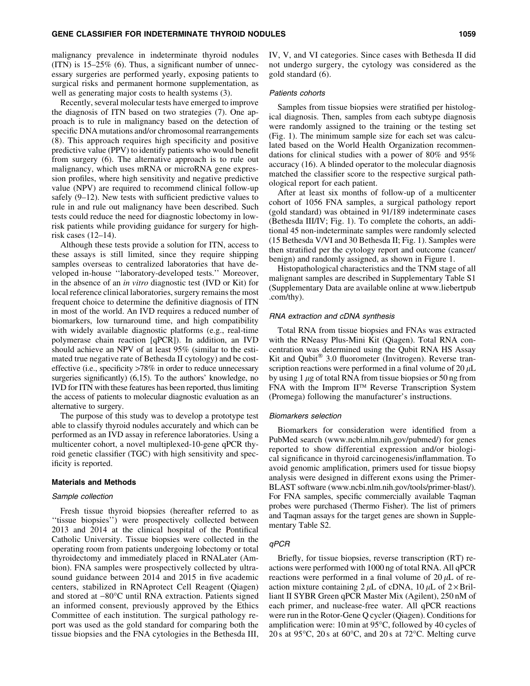#### GENE CLASSIFIER FOR INDETERMINATE THYROID NODULES 1059

malignancy prevalence in indeterminate thyroid nodules (ITN) is 15–25% (6). Thus, a significant number of unnecessary surgeries are performed yearly, exposing patients to surgical risks and permanent hormone supplementation, as well as generating major costs to health systems (3).

Recently, several molecular tests have emerged to improve the diagnosis of ITN based on two strategies (7). One approach is to rule in malignancy based on the detection of specific DNA mutations and/or chromosomal rearrangements (8). This approach requires high specificity and positive predictive value (PPV) to identify patients who would benefit from surgery (6). The alternative approach is to rule out malignancy, which uses mRNA or microRNA gene expression profiles, where high sensitivity and negative predictive value (NPV) are required to recommend clinical follow-up safely (9–12). New tests with sufficient predictive values to rule in and rule out malignancy have been described. Such tests could reduce the need for diagnostic lobectomy in lowrisk patients while providing guidance for surgery for highrisk cases (12–14).

Although these tests provide a solution for ITN, access to these assays is still limited, since they require shipping samples overseas to centralized laboratories that have developed in-house ''laboratory-developed tests.'' Moreover, in the absence of an *in vitro* diagnostic test (IVD or Kit) for local reference clinical laboratories, surgery remains the most frequent choice to determine the definitive diagnosis of ITN in most of the world. An IVD requires a reduced number of biomarkers, low turnaround time, and high compatibility with widely available diagnostic platforms (e.g., real-time polymerase chain reaction [qPCR]). In addition, an IVD should achieve an NPV of at least 95% (similar to the estimated true negative rate of Bethesda II cytology) and be costeffective (i.e., specificity >78% in order to reduce unnecessary surgeries significantly) (6,15). To the authors' knowledge, no IVD for ITN with these features has been reported, thus limiting the access of patients to molecular diagnostic evaluation as an alternative to surgery.

The purpose of this study was to develop a prototype test able to classify thyroid nodules accurately and which can be performed as an IVD assay in reference laboratories. Using a multicenter cohort, a novel multiplexed-10-gene qPCR thyroid genetic classifier (TGC) with high sensitivity and specificity is reported.

## Materials and Methods

#### Sample collection

Fresh tissue thyroid biopsies (hereafter referred to as ''tissue biopsies'') were prospectively collected between 2013 and 2014 at the clinical hospital of the Pontifical Catholic University. Tissue biopsies were collected in the operating room from patients undergoing lobectomy or total thyroidectomy and immediately placed in RNALater (Ambion). FNA samples were prospectively collected by ultrasound guidance between 2014 and 2015 in five academic centers, stabilized in RNAprotect Cell Reagent (Qiagen) and stored at -80°C until RNA extraction. Patients signed an informed consent, previously approved by the Ethics Committee of each institution. The surgical pathology report was used as the gold standard for comparing both the tissue biopsies and the FNA cytologies in the Bethesda III,

IV, V, and VI categories. Since cases with Bethesda II did not undergo surgery, the cytology was considered as the gold standard (6).

#### Patients cohorts

Samples from tissue biopsies were stratified per histological diagnosis. Then, samples from each subtype diagnosis were randomly assigned to the training or the testing set (Fig. 1). The minimum sample size for each set was calculated based on the World Health Organization recommendations for clinical studies with a power of 80% and 95% accuracy (16). A blinded operator to the molecular diagnosis matched the classifier score to the respective surgical pathological report for each patient.

After at least six months of follow-up of a multicenter cohort of 1056 FNA samples, a surgical pathology report (gold standard) was obtained in 91/189 indeterminate cases (Bethesda III/IV; Fig. 1). To complete the cohorts, an additional 45 non-indeterminate samples were randomly selected (15 Bethesda V/VI and 30 Bethesda II; Fig. 1). Samples were then stratified per the cytology report and outcome (cancer/ benign) and randomly assigned, as shown in Figure 1.

Histopathological characteristics and the TNM stage of all malignant samples are described in Supplementary Table S1 (Supplementary Data are available online at www.liebertpub .com/thy).

#### RNA extraction and cDNA synthesis

Total RNA from tissue biopsies and FNAs was extracted with the RNeasy Plus-Mini Kit (Qiagen). Total RNA concentration was determined using the Qubit RNA HS Assay Kit and Qubit<sup>®</sup> 3.0 fluorometer (Invitrogen). Reverse transcription reactions were performed in a final volume of  $20 \mu L$ by using 1  $\mu$ g of total RNA from tissue biopsies or 50 ng from FNA with the Improm  $II<sup>TM</sup>$  Reverse Transcription System (Promega) following the manufacturer's instructions.

## Biomarkers selection

Biomarkers for consideration were identified from a PubMed search (www.ncbi.nlm.nih.gov/pubmed/) for genes reported to show differential expression and/or biological significance in thyroid carcinogenesis/inflammation. To avoid genomic amplification, primers used for tissue biopsy analysis were designed in different exons using the Primer-BLAST software (www.ncbi.nlm.nih.gov/tools/primer-blast/). For FNA samples, specific commercially available Taqman probes were purchased (Thermo Fisher). The list of primers and Taqman assays for the target genes are shown in Supplementary Table S2.

## qPCR

Briefly, for tissue biopsies, reverse transcription (RT) reactions were performed with 1000 ng of total RNA. All qPCR reactions were performed in a final volume of  $20 \mu L$  of reaction mixture containing  $2 \mu L$  of cDNA, 10  $\mu L$  of  $2 \times \text{Bril}$ liant II SYBR Green qPCR Master Mix (Agilent), 250 nM of each primer, and nuclease-free water. All qPCR reactions were run in the Rotor-Gene Q cycler (Qiagen). Conditions for amplification were: 10 min at 95°C, followed by 40 cycles of 20 s at 95 $\degree$ C, 20 s at 60 $\degree$ C, and 20 s at 72 $\degree$ C. Melting curve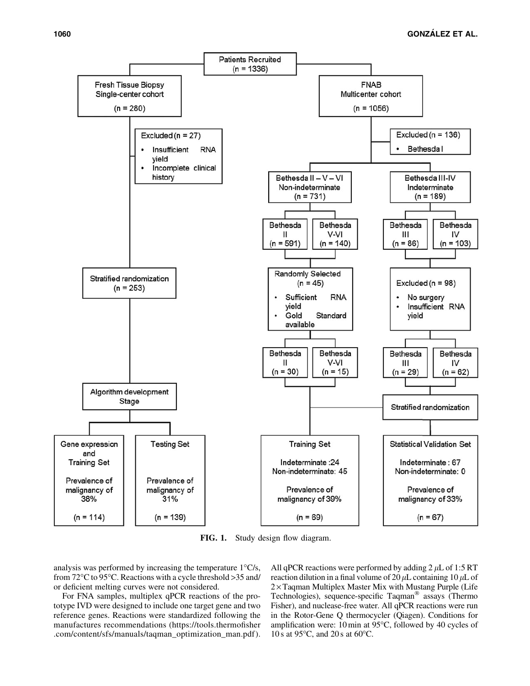

FIG. 1. Study design flow diagram.

analysis was performed by increasing the temperature  $1^{\circ}C/s$ , from 72°C to 95°C. Reactions with a cycle threshold >35 and/ or deficient melting curves were not considered.

For FNA samples, multiplex qPCR reactions of the prototype IVD were designed to include one target gene and two reference genes. Reactions were standardized following the manufactures recommendations (https://tools.thermofisher .com/content/sfs/manuals/taqman\_optimization\_man.pdf ). All qPCR reactions were performed by adding  $2 \mu L$  of 1:5 RT reaction dilution in a final volume of 20  $\mu$ L containing 10  $\mu$ L of  $2 \times$  Taqman Multiplex Master Mix with Mustang Purple (Life Technologies), sequence-specific Taqman<sup>®</sup> assays (Thermo Fisher), and nuclease-free water. All qPCR reactions were run in the Rotor-Gene Q thermocycler (Qiagen). Conditions for amplification were: 10 min at 95°C, followed by 40 cycles of 10 s at 95 $\degree$ C, and 20 s at 60 $\degree$ C.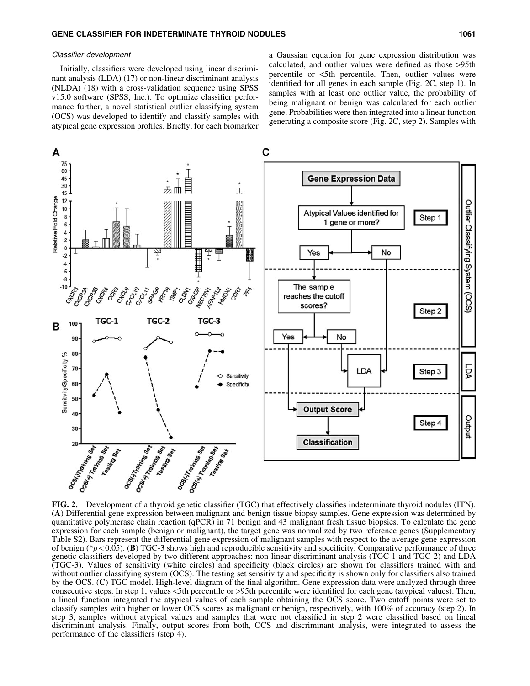## Classifier development

Initially, classifiers were developed using linear discriminant analysis (LDA) (17) or non-linear discriminant analysis (NLDA) (18) with a cross-validation sequence using SPSS v15.0 software (SPSS, Inc.). To optimize classifier performance further, a novel statistical outlier classifying system (OCS) was developed to identify and classify samples with atypical gene expression profiles. Briefly, for each biomarker a Gaussian equation for gene expression distribution was calculated, and outlier values were defined as those >95th percentile or <5th percentile. Then, outlier values were identified for all genes in each sample (Fig. 2C, step 1). In samples with at least one outlier value, the probability of being malignant or benign was calculated for each outlier gene. Probabilities were then integrated into a linear function generating a composite score (Fig. 2C, step 2). Samples with



FIG. 2. Development of a thyroid genetic classifier (TGC) that effectively classifies indeterminate thyroid nodules (ITN). (A) Differential gene expression between malignant and benign tissue biopsy samples. Gene expression was determined by quantitative polymerase chain reaction (qPCR) in 71 benign and 43 malignant fresh tissue biopsies. To calculate the gene expression for each sample (benign or malignant), the target gene was normalized by two reference genes (Supplementary Table S2). Bars represent the differential gene expression of malignant samples with respect to the average gene expression of benign (\**p* < 0.05). (B) TGC-3 shows high and reproducible sensitivity and specificity. Comparative performance of three genetic classifiers developed by two different approaches: non-linear discriminant analysis (TGC-1 and TGC-2) and LDA (TGC-3). Values of sensitivity (white circles) and specificity (black circles) are shown for classifiers trained with and without outlier classifying system (OCS). The testing set sensitivity and specificity is shown only for classifiers also trained by the OCS. (C) TGC model. High-level diagram of the final algorithm. Gene expression data were analyzed through three consecutive steps. In step 1, values <5th percentile or >95th percentile were identified for each gene (atypical values). Then, a lineal function integrated the atypical values of each sample obtaining the OCS score. Two cutoff points were set to classify samples with higher or lower OCS scores as malignant or benign, respectively, with 100% of accuracy (step 2). In step 3, samples without atypical values and samples that were not classified in step 2 were classified based on lineal discriminant analysis. Finally, output scores from both, OCS and discriminant analysis, were integrated to assess the performance of the classifiers (step 4).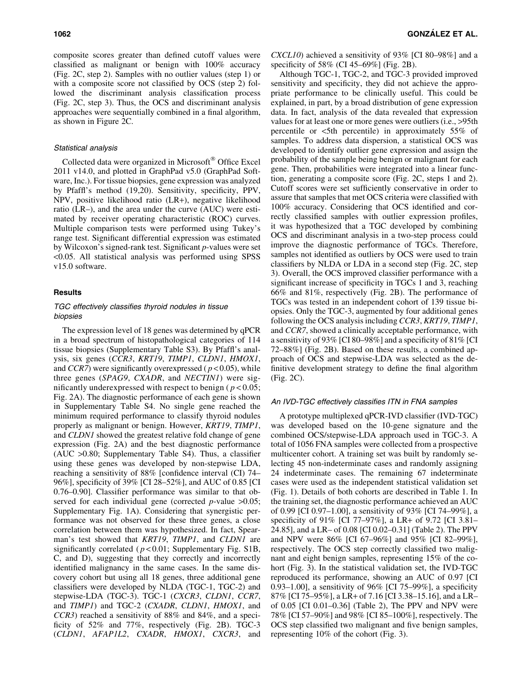composite scores greater than defined cutoff values were classified as malignant or benign with 100% accuracy (Fig. 2C, step 2). Samples with no outlier values (step 1) or with a composite score not classified by OCS (step 2) followed the discriminant analysis classification process (Fig. 2C, step 3). Thus, the OCS and discriminant analysis approaches were sequentially combined in a final algorithm, as shown in Figure 2C.

## Statistical analysis

Collected data were organized in Microsoft<sup>®</sup> Office Excel 2011 v14.0, and plotted in GraphPad v5.0 (GraphPad Software, Inc.). For tissue biopsies, gene expression was analyzed by Pfaffl's method (19,20). Sensitivity, specificity, PPV, NPV, positive likelihood ratio (LR+), negative likelihood ratio (LR–), and the area under the curve (AUC) were estimated by receiver operating characteristic (ROC) curves. Multiple comparison tests were performed using Tukey's range test. Significant differential expression was estimated by Wilcoxon's signed-rank test. Significant *p*-values were set <0.05. All statistical analysis was performed using SPSS v15.0 software.

## Results

# TGC effectively classifies thyroid nodules in tissue biopsies

The expression level of 18 genes was determined by qPCR in a broad spectrum of histopathological categories of 114 tissue biopsies (Supplementary Table S3). By Pfaffl's analysis, six genes (*CCR3*, *KRT19*, *TIMP1*, *CLDN1*, *HMOX1*, and *CCR7*) were significantly overexpressed ( *p* < 0.05), while three genes (*SPAG9*, *CXADR*, and *NECTIN1*) were significantly underexpressed with respect to benign ( $p < 0.05$ ; Fig. 2A). The diagnostic performance of each gene is shown in Supplementary Table S4. No single gene reached the minimum required performance to classify thyroid nodules properly as malignant or benign. However, *KRT19*, *TIMP1*, and *CLDN1* showed the greatest relative fold change of gene expression (Fig. 2A) and the best diagnostic performance (AUC >0.80; Supplementary Table S4). Thus, a classifier using these genes was developed by non-stepwise LDA, reaching a sensitivity of 88% [confidence interval (CI) 74– 96%], specificity of 39% [CI 28–52%], and AUC of 0.85 [CI 0.76–0.90]. Classifier performance was similar to that observed for each individual gene (corrected *p*-value >0.05; Supplementary Fig. 1A). Considering that synergistic performance was not observed for these three genes, a close correlation between them was hypothesized. In fact, Spearman's test showed that *KRT19*, *TIMP1*, and *CLDN1* are significantly correlated ( $p < 0.01$ ; Supplementary Fig. S1B, C, and D), suggesting that they correctly and incorrectly identified malignancy in the same cases. In the same discovery cohort but using all 18 genes, three additional gene classifiers were developed by NLDA (TGC-1, TGC-2) and stepwise-LDA (TGC-3). TGC-1 (*CXCR3*, *CLDN1*, *CCR7*, and *TIMP1*) and TGC-2 (*CXADR*, *CLDN1*, *HMOX1*, and *CCR3*) reached a sensitivity of 88% and 84%, and a specificity of 52% and 77%, respectively (Fig. 2B). TGC-3 (*CLDN1*, *AFAP1L2*, *CXADR*, *HMOX1*, *CXCR3*, and *CXCL10*) achieved a sensitivity of 93% [CI 80–98%] and a specificity of 58% (CI 45–69%] (Fig. 2B).

Although TGC-1, TGC-2, and TGC-3 provided improved sensitivity and specificity, they did not achieve the appropriate performance to be clinically useful. This could be explained, in part, by a broad distribution of gene expression data. In fact, analysis of the data revealed that expression values for at least one or more genes were outliers (i.e., >95th percentile or <5th percentile) in approximately 55% of samples. To address data dispersion, a statistical OCS was developed to identify outlier gene expression and assign the probability of the sample being benign or malignant for each gene. Then, probabilities were integrated into a linear function, generating a composite score (Fig. 2C, steps 1 and 2). Cutoff scores were set sufficiently conservative in order to assure that samples that met OCS criteria were classified with 100% accuracy. Considering that OCS identified and correctly classified samples with outlier expression profiles, it was hypothesized that a TGC developed by combining OCS and discriminant analysis in a two-step process could improve the diagnostic performance of TGCs. Therefore, samples not identified as outliers by OCS were used to train classifiers by NLDA or LDA in a second step (Fig. 2C, step 3). Overall, the OCS improved classifier performance with a significant increase of specificity in TGCs 1 and 3, reaching 66% and 81%, respectively (Fig. 2B). The performance of TGCs was tested in an independent cohort of 139 tissue biopsies. Only the TGC-3, augmented by four additional genes following the OCS analysis including *CCR3*, *KRT19*, *TIMP1*, and *CCR7*, showed a clinically acceptable performance, with a sensitivity of 93% [CI 80–98%] and a specificity of 81% [CI 72–88%] (Fig. 2B). Based on these results, a combined approach of OCS and stepwise-LDA was selected as the definitive development strategy to define the final algorithm (Fig. 2C).

## An IVD-TGC effectively classifies ITN in FNA samples

A prototype multiplexed qPCR-IVD classifier (IVD-TGC) was developed based on the 10-gene signature and the combined OCS/stepwise-LDA approach used in TGC-3. A total of 1056 FNA samples were collected from a prospective multicenter cohort. A training set was built by randomly selecting 45 non-indeterminate cases and randomly assigning 24 indeterminate cases. The remaining 67 indeterminate cases were used as the independent statistical validation set (Fig. 1). Details of both cohorts are described in Table 1. In the training set, the diagnostic performance achieved an AUC of 0.99 [CI 0.97–1.00], a sensitivity of 93% [CI 74–99%], a specificity of 91% [CI 77–97%], a LR+ of 9.72 [CI 3.81– 24.85], and a LR– of 0.08 [CI 0.02–0.31] (Table 2). The PPV and NPV were 86% [CI 67–96%] and 95% [CI 82–99%], respectively. The OCS step correctly classified two malignant and eight benign samples, representing 15% of the cohort (Fig. 3). In the statistical validation set, the IVD-TGC reproduced its performance, showing an AUC of 0.97 [CI 0.93–1.00], a sensitivity of 96% [CI 75–99%], a specificity 87% [CI 75–95%], a LR+ of 7.16 [CI 3.38–15.16], and a LR– of 0.05 [CI 0.01–0.36] (Table 2), The PPV and NPV were 78% [CI 57–90%] and 98% [CI 85–100%], respectively. The OCS step classified two malignant and five benign samples, representing 10% of the cohort (Fig. 3).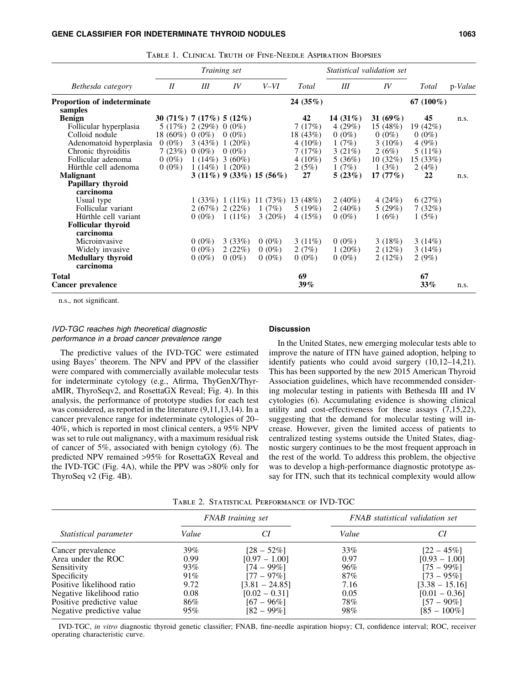|                             | Training set                |                 |                    |                                           |              | <i>Statistical validation set</i> |             |              |         |
|-----------------------------|-----------------------------|-----------------|--------------------|-------------------------------------------|--------------|-----------------------------------|-------------|--------------|---------|
| Bethesda category           | II                          | Ш               | IV                 | $V-VI$                                    | Total        | Ш                                 | IV          | <b>Total</b> | p-Value |
| Proportion of indeterminate |                             |                 |                    |                                           | 24 $(35%)$   |                                   |             | 67 $(100\%)$ |         |
| samples                     |                             |                 |                    |                                           |              |                                   |             |              |         |
| <b>Benign</b>               | 30 (71\%) 7 (17\%) 5 (12\%) |                 |                    |                                           | 42           | 14 $(31\%)$                       | 31 $(69\%)$ | 45           | n.s.    |
| Follicular hyperplasia      | 5(17%)                      | 2(29%)          | $0(0\%)$           |                                           | 7(17%)       | 4 $(29%)$                         | 15 (48%)    | 19 (42%)     |         |
| Colloid nodule              | 18 (60%) 0 (0%)             |                 | $0(0\%)$           |                                           | 18 (43%)     | $0(0\%)$                          | $0(0\%)$    | $0(0\%)$     |         |
| Adenomatoid hyperplasia     | $0(0\%)$                    |                 | $3(43\%)$ 1 (20%)  |                                           | $4(10\%)$    | 1(7%)                             | 3 $(10\%)$  | 4(9%)        |         |
| Chronic thyroiditis         | 7(23%)                      | $0(0\%)$        | $0(0\%)$           |                                           | 7(17%)       | 3(21%)                            | 2(6%)       | 5(11%)       |         |
| Follicular adenoma          | $0(0\%)$                    |                 | $1(14\%)$ 3 (60%)  |                                           | 4 $(10\%)$   | 5(36%)                            | 10(32%)     | 15(33%)      |         |
| Hürthle cell adenoma        | $0(0\%)$                    |                 | $1(14\%)$ 1 (20\%) |                                           | 2(5%)        | 1(7%)                             | 1(3%)       | 2 $(4%)$     |         |
| <b>Malignant</b>            |                             |                 |                    | $3(11\%)$ 9 (33\%) 15 (56\%)              | 27           | 5(23%)                            | 17(77%)     | 22           | n.s.    |
| <b>Papillary thyroid</b>    |                             |                 |                    |                                           |              |                                   |             |              |         |
| carcinoma                   |                             |                 |                    |                                           |              |                                   |             |              |         |
| Usual type                  |                             |                 |                    | $1(33\%)$ $1(11\%)$ $11(73\%)$ $13(48\%)$ |              | $2(40\%)$                         | 4 $(24%)$   | 6(27%)       |         |
| Follicular variant          |                             | $2(67%)$ 2(22%) |                    | 1 $(7%)$                                  | 5(19%)       | 2 $(40\%)$                        | 5(29%)      | 7(32%)       |         |
| Hürthle cell variant        |                             | $0(0\%)$        | $1(11\%)$          | $3(20\%)$                                 | 4(15%)       | $0(0\%)$                          | 1(6%)       | 1(5%)        |         |
| <b>Follicular thyroid</b>   |                             |                 |                    |                                           |              |                                   |             |              |         |
| carcinoma                   |                             |                 |                    |                                           |              |                                   |             |              |         |
| Microinvasive               |                             | $0(0\%)$        | 3(33%)             | $0(0\%)$                                  | $3(11\%)$    | $0(0\%)$                          | 3(18%)      | 3(14%)       |         |
|                             |                             | $0(0\%)$        |                    | $0(0\%)$                                  |              | $1(20\%)$                         |             |              |         |
| Widely invasive             |                             |                 | 2(22%)             |                                           | 2(7%)        |                                   | 2(12%)      | 3(14%)       |         |
| <b>Medullary thyroid</b>    |                             | $0(0\%)$        | $0(0\%)$           | $0(0\%)$                                  | $0(0\%)$     | $0(0\%)$                          | 2(12%)      | 2(9%)        |         |
| carcinoma                   |                             |                 |                    |                                           |              |                                   |             |              |         |
| Total<br>Cancer prevalence  |                             |                 |                    |                                           | 69<br>$39\%$ |                                   |             | 67<br>33%    | n.s.    |

Table 1. Clinical Truth of Fine-Needle Aspiration Biopsies

n.s., not significant.

# IVD-TGC reaches high theoretical diagnostic performance in a broad cancer prevalence range

## Discussion

The predictive values of the IVD-TGC were estimated using Bayes' theorem. The NPV and PPV of the classifier were compared with commercially available molecular tests for indeterminate cytology (e.g., Afirma, ThyGenX/ThyraMIR, ThyroSeqv2, and RosettaGX Reveal; Fig. 4). In this analysis, the performance of prototype studies for each test was considered, as reported in the literature (9,11,13,14). In a cancer prevalence range for indeterminate cytologies of 20– 40%, which is reported in most clinical centers, a 95% NPV was set to rule out malignancy, with a maximum residual risk of cancer of 5%, associated with benign cytology (6). The predicted NPV remained >95% for RosettaGX Reveal and the IVD-TGC (Fig. 4A), while the PPV was >80% only for ThyroSeq v2 (Fig. 4B).

In the United States, new emerging molecular tests able to improve the nature of ITN have gained adoption, helping to identify patients who could avoid surgery (10,12–14,21). This has been supported by the new 2015 American Thyroid Association guidelines, which have recommended considering molecular testing in patients with Bethesda III and IV cytologies (6). Accumulating evidence is showing clinical utility and cost-effectiveness for these assays (7,15,22), suggesting that the demand for molecular testing will increase. However, given the limited access of patients to centralized testing systems outside the United States, diagnostic surgery continues to be the most frequent approach in the rest of the world. To address this problem, the objective was to develop a high-performance diagnostic prototype assay for ITN, such that its technical complexity would allow

|                           |       | FNAB training set | FNAB statistical validation set |                  |  |
|---------------------------|-------|-------------------|---------------------------------|------------------|--|
| Statistical parameter     | Value |                   | Value                           | CI               |  |
| Cancer prevalence         | 39%   | $[28 - 52\%]$     | 33%                             | $[22 - 45\%]$    |  |
| Area under the ROC        | 0.99  | $[0.97 - 1.00]$   | 0.97                            | $[0.93 - 1.00]$  |  |
| Sensitivity               | 93%   | $[74 - 99\%]$     | 96%                             | $[75 - 99\%]$    |  |
| Specificity               | 91%   | $[77 - 97\%]$     | 87%                             | $[73 - 95\%]$    |  |
| Positive likelihood ratio | 9.72  | $[3.81 - 24.85]$  | 7.16                            | $[3.38 - 15.16]$ |  |
| Negative likelihood ratio | 0.08  | $[0.02 - 0.31]$   | 0.05                            | $[0.01 - 0.36]$  |  |
| Positive predictive value | 86%   | $[67 - 96\%]$     | 78%                             | $[57 - 90\%]$    |  |
| Negative predictive value | 95%   | 182 – 99%1        | 98%                             | $[85 - 100\%]$   |  |

Table 2. Statistical Performance of IVD-TGC

IVD-TGC, *in vitro* diagnostic thyroid genetic classifier; FNAB, fine-needle aspiration biopsy; CI, confidence interval; ROC, receiver operating characteristic curve.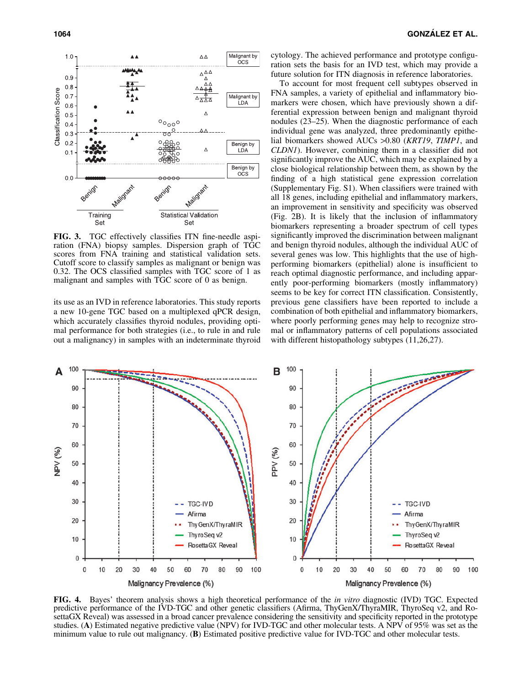

FIG. 3. TGC effectively classifies ITN fine-needle aspiration (FNA) biopsy samples. Dispersion graph of TGC scores from FNA training and statistical validation sets. Cutoff score to classify samples as malignant or benign was 0.32. The OCS classified samples with TGC score of 1 as malignant and samples with TGC score of 0 as benign.

its use as an IVD in reference laboratories. This study reports a new 10-gene TGC based on a multiplexed qPCR design, which accurately classifies thyroid nodules, providing optimal performance for both strategies (i.e., to rule in and rule out a malignancy) in samples with an indeterminate thyroid cytology. The achieved performance and prototype configuration sets the basis for an IVD test, which may provide a future solution for ITN diagnosis in reference laboratories.

To account for most frequent cell subtypes observed in FNA samples, a variety of epithelial and inflammatory biomarkers were chosen, which have previously shown a differential expression between benign and malignant thyroid nodules (23–25). When the diagnostic performance of each individual gene was analyzed, three predominantly epithelial biomarkers showed AUCs >0.80 (*KRT19*, *TIMP1*, and *CLDN1*). However, combining them in a classifier did not significantly improve the AUC, which may be explained by a close biological relationship between them, as shown by the finding of a high statistical gene expression correlation (Supplementary Fig. S1). When classifiers were trained with all 18 genes, including epithelial and inflammatory markers, an improvement in sensitivity and specificity was observed (Fig. 2B). It is likely that the inclusion of inflammatory biomarkers representing a broader spectrum of cell types significantly improved the discrimination between malignant and benign thyroid nodules, although the individual AUC of several genes was low. This highlights that the use of highperforming biomarkers (epithelial) alone is insufficient to reach optimal diagnostic performance, and including apparently poor-performing biomarkers (mostly inflammatory) seems to be key for correct ITN classification. Consistently, previous gene classifiers have been reported to include a combination of both epithelial and inflammatory biomarkers, where poorly performing genes may help to recognize stromal or inflammatory patterns of cell populations associated with different histopathology subtypes (11,26,27).



FIG. 4. Bayes' theorem analysis shows a high theoretical performance of the *in vitro* diagnostic (IVD) TGC. Expected predictive performance of the IVD-TGC and other genetic classifiers (Afirma, ThyGenX/ThyraMIR, ThyroSeq v2, and RosettaGX Reveal) was assessed in a broad cancer prevalence considering the sensitivity and specificity reported in the prototype studies. (A) Estimated negative predictive value (NPV) for IVD-TGC and other molecular tests. A NPV of 95% was set as the minimum value to rule out malignancy. (B) Estimated positive predictive value for IVD-TGC and other molecular tests.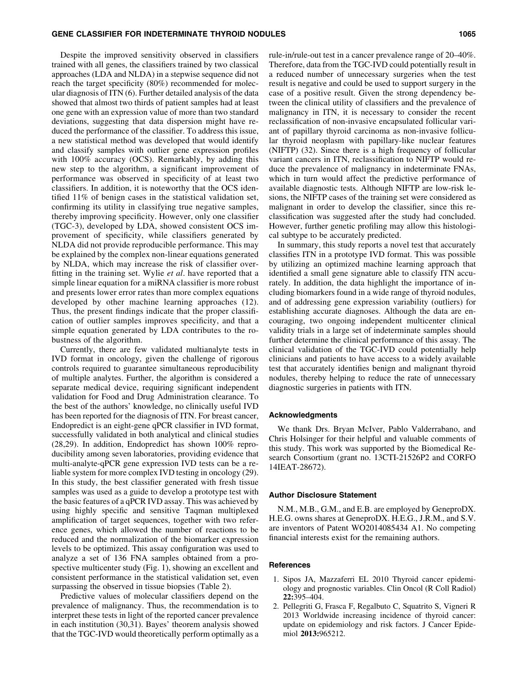## GENE CLASSIFIER FOR INDETERMINATE THYROID NODULES 1065 1065

Despite the improved sensitivity observed in classifiers trained with all genes, the classifiers trained by two classical approaches (LDA and NLDA) in a stepwise sequence did not reach the target specificity (80%) recommended for molecular diagnosis of ITN (6). Further detailed analysis of the data showed that almost two thirds of patient samples had at least one gene with an expression value of more than two standard deviations, suggesting that data dispersion might have reduced the performance of the classifier. To address this issue, a new statistical method was developed that would identify and classify samples with outlier gene expression profiles with 100% accuracy (OCS). Remarkably, by adding this new step to the algorithm, a significant improvement of performance was observed in specificity of at least two classifiers. In addition, it is noteworthy that the OCS identified 11% of benign cases in the statistical validation set, confirming its utility in classifying true negative samples, thereby improving specificity. However, only one classifier (TGC-3), developed by LDA, showed consistent OCS improvement of specificity, while classifiers generated by NLDA did not provide reproducible performance. This may be explained by the complex non-linear equations generated by NLDA, which may increase the risk of classifier overfitting in the training set. Wylie *et al*. have reported that a simple linear equation for a miRNA classifier is more robust and presents lower error rates than more complex equations developed by other machine learning approaches (12). Thus, the present findings indicate that the proper classification of outlier samples improves specificity, and that a simple equation generated by LDA contributes to the robustness of the algorithm.

Currently, there are few validated multianalyte tests in IVD format in oncology, given the challenge of rigorous controls required to guarantee simultaneous reproducibility of multiple analytes. Further, the algorithm is considered a separate medical device, requiring significant independent validation for Food and Drug Administration clearance. To the best of the authors' knowledge, no clinically useful IVD has been reported for the diagnosis of ITN. For breast cancer, Endopredict is an eight-gene qPCR classifier in IVD format, successfully validated in both analytical and clinical studies (28,29). In addition, Endopredict has shown 100% reproducibility among seven laboratories, providing evidence that multi-analyte-qPCR gene expression IVD tests can be a reliable system for more complex IVD testing in oncology (29). In this study, the best classifier generated with fresh tissue samples was used as a guide to develop a prototype test with the basic features of a qPCR IVD assay. This was achieved by using highly specific and sensitive Taqman multiplexed amplification of target sequences, together with two reference genes, which allowed the number of reactions to be reduced and the normalization of the biomarker expression levels to be optimized. This assay configuration was used to analyze a set of 136 FNA samples obtained from a prospective multicenter study (Fig. 1), showing an excellent and consistent performance in the statistical validation set, even surpassing the observed in tissue biopsies (Table 2).

Predictive values of molecular classifiers depend on the prevalence of malignancy. Thus, the recommendation is to interpret these tests in light of the reported cancer prevalence in each institution (30,31). Bayes' theorem analysis showed that the TGC-IVD would theoretically perform optimally as a rule-in/rule-out test in a cancer prevalence range of 20–40%. Therefore, data from the TGC-IVD could potentially result in a reduced number of unnecessary surgeries when the test result is negative and could be used to support surgery in the case of a positive result. Given the strong dependency between the clinical utility of classifiers and the prevalence of malignancy in ITN, it is necessary to consider the recent reclassification of non-invasive encapsulated follicular variant of papillary thyroid carcinoma as non-invasive follicular thyroid neoplasm with papillary-like nuclear features (NIFTP) (32). Since there is a high frequency of follicular variant cancers in ITN, reclassification to NIFTP would reduce the prevalence of malignancy in indeterminate FNAs, which in turn would affect the predictive performance of available diagnostic tests. Although NIFTP are low-risk lesions, the NIFTP cases of the training set were considered as malignant in order to develop the classifier, since this reclassification was suggested after the study had concluded. However, further genetic profiling may allow this histological subtype to be accurately predicted.

In summary, this study reports a novel test that accurately classifies ITN in a prototype IVD format. This was possible by utilizing an optimized machine learning approach that identified a small gene signature able to classify ITN accurately. In addition, the data highlight the importance of including biomarkers found in a wide range of thyroid nodules, and of addressing gene expression variability (outliers) for establishing accurate diagnoses. Although the data are encouraging, two ongoing independent multicenter clinical validity trials in a large set of indeterminate samples should further determine the clinical performance of this assay. The clinical validation of the TGC-IVD could potentially help clinicians and patients to have access to a widely available test that accurately identifies benign and malignant thyroid nodules, thereby helping to reduce the rate of unnecessary diagnostic surgeries in patients with ITN.

## Acknowledgments

We thank Drs. Bryan McIver, Pablo Valderrabano, and Chris Holsinger for their helpful and valuable comments of this study. This work was supported by the Biomedical Research Consortium (grant no. 13CTI-21526P2 and CORFO 14IEAT-28672).

#### Author Disclosure Statement

N.M., M.B., G.M., and E.B. are employed by GeneproDX. H.E.G. owns shares at GeneproDX. H.E.G., J.R.M., and S.V. are inventors of Patent WO2014085434 A1. No competing financial interests exist for the remaining authors.

## References

- 1. Sipos JA, Mazzaferri EL 2010 Thyroid cancer epidemiology and prognostic variables. Clin Oncol (R Coll Radiol) 22:395–404.
- 2. Pellegriti G, Frasca F, Regalbuto C, Squatrito S, Vigneri R 2013 Worldwide increasing incidence of thyroid cancer: update on epidemiology and risk factors. J Cancer Epidemiol 2013:965212.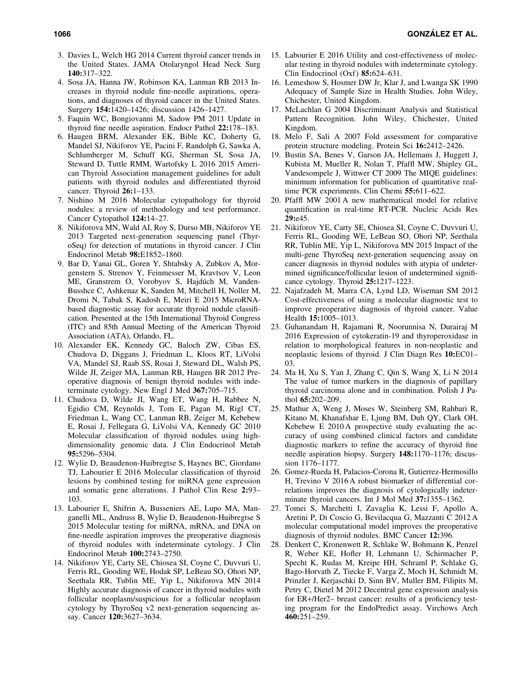- 3. Davies L, Welch HG 2014 Current thyroid cancer trends in the United States. JAMA Otolaryngol Head Neck Surg 140:317–322.
- 4. Sosa JA, Hanna JW, Robinson KA, Lanman RB 2013 Increases in thyroid nodule fine-needle aspirations, operations, and diagnoses of thyroid cancer in the United States. Surgery 154:1420–1426; discussion 1426–1427.
- 5. Faquin WC, Bongiovanni M, Sadow PM 2011 Update in thyroid fine needle aspiration. Endocr Pathol 22:178–183.
- 6. Haugen BRM, Alexander EK, Bible KC, Doherty G, Mandel SJ, Nikiforov YE, Pacini F, Randolph G, Sawka A, Schlumberger M, Schuff KG, Sherman SI, Sosa JA, Steward D, Tuttle RMM, Wartofsky L 2016 2015 American Thyroid Association management guidelines for adult patients with thyroid nodules and differentiated thyroid cancer. Thyroid 26:1–133.
- 7. Nishino M 2016 Molecular cytopathology for thyroid nodules: a review of methodology and test performance. Cancer Cytopathol 124:14–27.
- 8. Nikiforova MN, Wald AI, Roy S, Durso MB, Nikiforov YE 2013 Targeted next-generation sequencing panel (ThyroSeq) for detection of mutations in thyroid cancer. J Clin Endocrinol Metab 98:E1852–1860.
- 9. Bar D, Yanai GL, Goren Y, Shtabsky A, Zubkov A, Morgenstern S, Strenov Y, Feinmesser M, Kravtsov V, Leon ME, Granstrem O, Vorobyov S, Hajdúch M, Vanden-Busshce C, Ashkenaz K, Sanden M, Mitchell H, Noller M, Dromi N, Tabak S, Kadosh E, Meiri E 2015 MicroRNAbased diagnostic assay for accurate thyroid nodule classification. Presented at the 15th International Thyroid Congress (ITC) and 85th Annual Meeting of the American Thyroid Association (ATA), Orlando, FL.
- 10. Alexander EK, Kennedy GC, Baloch ZW, Cibas ES, Chudova D, Diggans J, Friedman L, Kloos RT, LiVolsi VA, Mandel SJ, Raab SS, Rosai J, Steward DL, Walsh PS, Wilde JI, Zeiger MA, Lanman RB, Haugen BR 2012 Preoperative diagnosis of benign thyroid nodules with indeterminate cytology. New Engl J Med 367:705–715.
- 11. Chudova D, Wilde JI, Wang ET, Wang H, Rabbee N, Egidio CM, Reynolds J, Tom E, Pagan M, Rigl CT, Friedman L, Wang CC, Lanman RB, Zeiger M, Kebebew E, Rosai J, Fellegara G, LiVolsi VA, Kennedy GC 2010 Molecular classification of thyroid nodules using highdimensionality genomic data. J Clin Endocrinol Metab 95:5296–5304.
- 12. Wylie D, Beaudenon-Huibregtse S, Haynes BC, Giordano TJ, Labourier E 2016 Molecular classification of thyroid lesions by combined testing for miRNA gene expression and somatic gene alterations. J Pathol Clin Rese 2:93– 103.
- 13. Labourier E, Shifrin A, Busseniers AE, Lupo MA, Manganelli ML, Andruss B, Wylie D, Beaudenon-Huibregtse S 2015 Molecular testing for miRNA, mRNA, and DNA on fine-needle aspiration improves the preoperative diagnosis of thyroid nodules with indeterminate cytology. J Clin Endocrinol Metab 100:2743–2750.
- 14. Nikiforov YE, Carty SE, Chiosea SI, Coyne C, Duvvuri U, Ferris RL, Gooding WE, Hodak SP, LeBeau SO, Ohori NP, Seethala RR, Tublin ME, Yip L, Nikiforova MN 2014 Highly accurate diagnosis of cancer in thyroid nodules with follicular neoplasm/suspicious for a follicular neoplasm cytology by ThyroSeq v2 next-generation sequencing assay. Cancer 120:3627–3634.
- 15. Labourier E 2016 Utility and cost-effectiveness of molecular testing in thyroid nodules with indeterminate cytology. Clin Endocrinol  $(Oxf)$  85:624–631.
- 16. Lemeshow S, Hosmer DW Jr, Klar J, and Lwanga SK 1990 Adequacy of Sample Size in Health Studies. John Wiley, Chichester, United Kingdom.
- 17. McLachlan G 2004 Discriminant Analysis and Statistical Pattern Recognition. John Wiley, Chichester, United Kingdom.
- 18. Melo F, Sali A 2007 Fold assessment for comparative protein structure modeling. Protein Sci 16:2412–2426.
- 19. Bustin SA, Benes V, Garson JA, Hellemans J, Huggett J, Kubista M, Mueller R, Nolan T, Pfaffl MW, Shipley GL, Vandesompele J, Wittwer CT 2009 The MIQE guidelines: minimum information for publication of quantitative realtime PCR experiments. Clin Chemi 55:611–622.
- 20. Pfaffl MW 2001 A new mathematical model for relative quantification in real-time RT-PCR. Nucleic Acids Res 29:e45.
- 21. Nikiforov YE, Carty SE, Chiosea SI, Coyne C, Duvvuri U, Ferris RL, Gooding WE, LeBeau SO, Ohori NP, Seethala RR, Tublin ME, Yip L, Nikiforova MN 2015 Impact of the multi-gene ThyroSeq next-generation sequencing assay on cancer diagnosis in thyroid nodules with atypia of undetermined significance/follicular lesion of undetermined significance cytology. Thyroid 25:1217–1223.
- 22. Najafzadeh M, Marra CA, Lynd LD, Wiseman SM 2012 Cost-effectiveness of using a molecular diagnostic test to improve preoperative diagnosis of thyroid cancer. Value Health 15:1005–1013.
- 23. Guhanandam H, Rajamani R, Noorunnisa N, Durairaj M 2016 Expression of cytokeratin-19 and thyroperoxidase in relation to morphological features in non-neoplastic and neoplastic lesions of thyroid. J Clin Diagn Res 10:EC01– 03.
- 24. Ma H, Xu S, Yan J, Zhang C, Qin S, Wang X, Li N 2014 The value of tumor markers in the diagnosis of papillary thyroid carcinoma alone and in combination. Polish J Pathol 65:202–209.
- 25. Mathur A, Weng J, Moses W, Steinberg SM, Rahbari R, Kitano M, Khanafshar E, Ljung BM, Duh QY, Clark OH, Kebebew E 2010 A prospective study evaluating the accuracy of using combined clinical factors and candidate diagnostic markers to refine the accuracy of thyroid fine needle aspiration biopsy. Surgery 148:1170–1176; discussion 1176–1177.
- 26. Gomez-Rueda H, Palacios-Corona R, Gutierrez-Hermosillo H, Trevino V 2016 A robust biomarker of differential correlations improves the diagnosis of cytologically indeterminate thyroid cancers. Int J Mol Med 37:1355–1362.
- 27. Tomei S, Marchetti I, Zavaglia K, Lessi F, Apollo A, Aretini P, Di Coscio G, Bevilacqua G, Mazzanti C 2012 A molecular computational model improves the preoperative diagnosis of thyroid nodules. BMC Cancer 12:396.
- 28. Denkert C, Kronenwett R, Schlake W, Bohmann K, Penzel R, Weber KE, Hofler H, Lehmann U, Schirmacher P, Specht K, Rudas M, Kreipe HH, Schraml P, Schlake G, Bago-Horvath Z, Tiecke F, Varga Z, Moch H, Schmidt M, Prinzler J, Kerjaschki D, Sinn BV, Muller BM, Filipits M, Petry C, Dietel M 2012 Decentral gene expression analysis for ER+/Her2– breast cancer: results of a proficiency testing program for the EndoPredict assay. Virchows Arch 460:251–259.